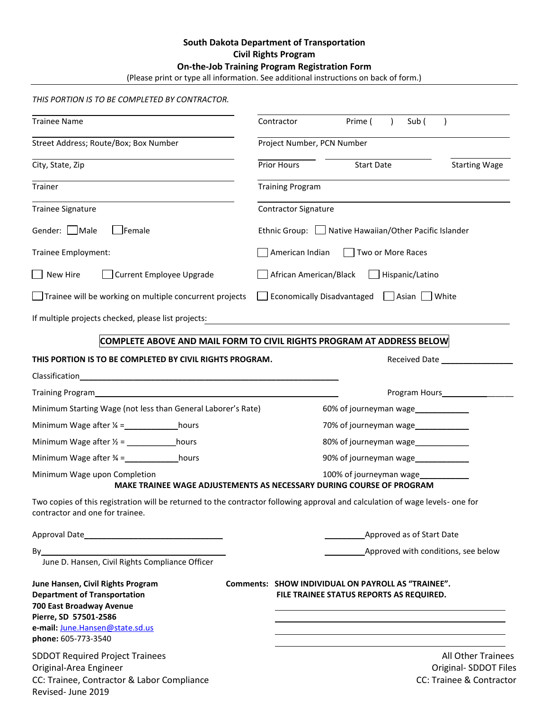## **South Dakota Department of Transportation Civil Rights Program On-the-Job Training Program Registration Form**

| (Please print or type all information. See additional instructions on back of form.) |  |
|--------------------------------------------------------------------------------------|--|
|--------------------------------------------------------------------------------------|--|

## *THIS PORTION IS TO BE COMPLETED BY CONTRACTOR.*

Revised- June 2019

| <b>Trainee Name</b>                                                                                                                                                                                                            | Contractor                                | Prime (<br>Sub (                                                                               |                                                                                |  |
|--------------------------------------------------------------------------------------------------------------------------------------------------------------------------------------------------------------------------------|-------------------------------------------|------------------------------------------------------------------------------------------------|--------------------------------------------------------------------------------|--|
| Street Address; Route/Box; Box Number                                                                                                                                                                                          | Project Number, PCN Number                |                                                                                                |                                                                                |  |
| City, State, Zip                                                                                                                                                                                                               | <b>Prior Hours</b>                        | <b>Start Date</b>                                                                              | <b>Starting Wage</b>                                                           |  |
| Trainer                                                                                                                                                                                                                        | <b>Training Program</b>                   |                                                                                                |                                                                                |  |
| <b>Trainee Signature</b>                                                                                                                                                                                                       | <b>Contractor Signature</b>               |                                                                                                |                                                                                |  |
| Gender: □Male<br>$\Box$ Female                                                                                                                                                                                                 |                                           | Ethnic Group:   Native Hawaiian/Other Pacific Islander                                         |                                                                                |  |
| Trainee Employment:                                                                                                                                                                                                            |                                           | American Indian<br>Two or More Races                                                           |                                                                                |  |
| $\Box$ New Hire<br>Current Employee Upgrade                                                                                                                                                                                    | African American/Black<br>Hispanic/Latino |                                                                                                |                                                                                |  |
| Trainee will be working on multiple concurrent projects                                                                                                                                                                        |                                           | Economically Disadvantaged Asian White                                                         |                                                                                |  |
| If multiple projects checked, please list projects:                                                                                                                                                                            |                                           |                                                                                                |                                                                                |  |
| COMPLETE ABOVE AND MAIL FORM TO CIVIL RIGHTS PROGRAM AT ADDRESS BELOW                                                                                                                                                          |                                           |                                                                                                |                                                                                |  |
| THIS PORTION IS TO BE COMPLETED BY CIVIL RIGHTS PROGRAM.                                                                                                                                                                       |                                           | Received Date                                                                                  |                                                                                |  |
| Classification<br><u> 1989 - John Stein, Amerikaansk politiker (</u> † 1920)                                                                                                                                                   |                                           |                                                                                                |                                                                                |  |
| Training Program                                                                                                                                                                                                               |                                           |                                                                                                | Program Hours<br><u>Internal Section</u>                                       |  |
| Minimum Starting Wage (not less than General Laborer's Rate)                                                                                                                                                                   |                                           | 60% of journeyman wage______________                                                           |                                                                                |  |
|                                                                                                                                                                                                                                |                                           |                                                                                                |                                                                                |  |
|                                                                                                                                                                                                                                |                                           | 80% of journeyman wage                                                                         |                                                                                |  |
| Minimum Wage after $\frac{3}{4}$ = hours                                                                                                                                                                                       |                                           | 90% of journeyman wage                                                                         |                                                                                |  |
| Minimum Wage upon Completion<br>MAKE TRAINEE WAGE ADJUSTEMENTS AS NECESSARY DURING COURSE OF PROGRAM                                                                                                                           |                                           | 100% of journeyman wage                                                                        |                                                                                |  |
| Two copies of this registration will be returned to the contractor following approval and calculation of wage levels- one for<br>contractor and one for trainee.                                                               |                                           |                                                                                                |                                                                                |  |
|                                                                                                                                                                                                                                |                                           | Approved as of Start Date                                                                      |                                                                                |  |
| By the contract of the contract of the contract of the contract of the contract of the contract of the contract of the contract of the contract of the contract of the contract of the contract of the contract of the contrac |                                           |                                                                                                | Approved with conditions, see below                                            |  |
| June D. Hansen, Civil Rights Compliance Officer                                                                                                                                                                                |                                           |                                                                                                |                                                                                |  |
| June Hansen, Civil Rights Program<br><b>Department of Transportation</b><br>700 East Broadway Avenue<br>Pierre, SD 57501-2586<br>e-mail: June.Hansen@state.sd.us                                                               |                                           | Comments: SHOW INDIVIDUAL ON PAYROLL AS "TRAINEE".<br>FILE TRAINEE STATUS REPORTS AS REQUIRED. |                                                                                |  |
| phone: 605-773-3540<br><b>SDDOT Required Project Trainees</b><br>Original-Area Engineer<br>CC: Trainee, Contractor & Labor Compliance                                                                                          |                                           |                                                                                                | <b>All Other Trainees</b><br>Original- SDDOT Files<br>CC: Trainee & Contractor |  |